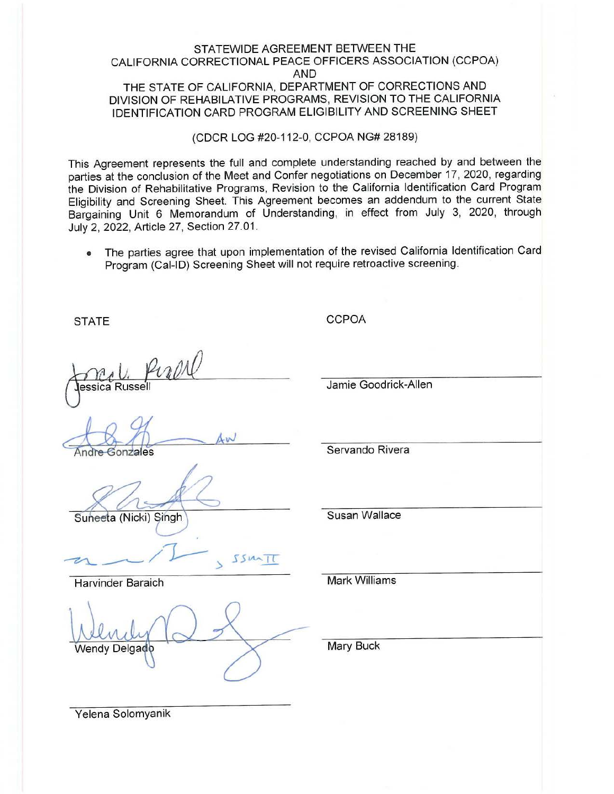## STATEWIDE AGREEMENT BETWEEN THE CALIFORNIA CORRECTIONAL PEACE OFFICERS ASSOCIATION (CCPOA) AND THE STATE OF CALIFORNIA, DEPARTMENT OF CORRECTIONS AND DIVISION OF REHABILA TIVE PROGRAMS, REVISION TO THE CALIFORNIA IDENTIFICATION CARD PROGRAM ELIGIBILITY AND SCREENING SHEET

## (CDCR LOG #20-112-0, CCPOA **NG#** 28189)

This Agreement represents the full and complete understanding reached by and between the parties at the conclusion of the Meet and Confer negotiations on December 17, 2020, regarding the Division of Rehabilitative Programs, Revision to the California Identification Card Program Eligibility and Screening Sheet. This Agreement becomes an addendum to the current State Bargaining Unit 6 Memorandum of Understanding, in effect from July 3, 2020, through July 2, 2022, Article 27, Section 27.01.

• The parties agree that upon implementation of the revised California Identification Card Program (Cal-ID) Screening Sheet will not require retroactive screening.

**STATE** 

**CCPOA** 

ande essica Russell

Andre Gonzales

Suneeta (Nicki) Singh

 $SSM$ ł

Harvinder Baraich

Vendy Delgadç

**Mark Williams** 

Mary Buck

Yelena Solomyanik

Jamie Goodrick-Allen

Servando Rivera

Susan Wallace